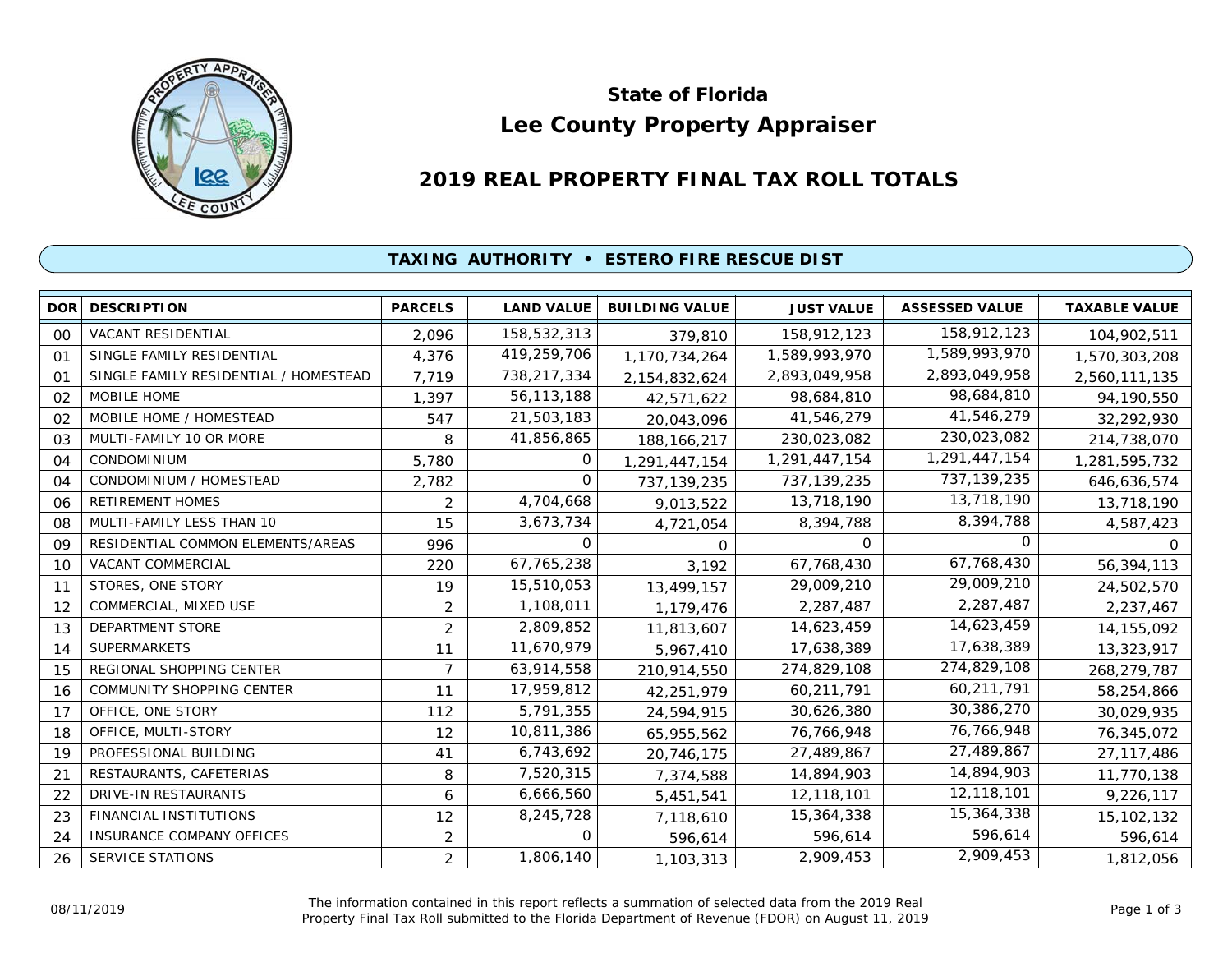

# **Lee County Property Appraiser State of Florida**

# **2019 REAL PROPERTY FINAL TAX ROLL TOTALS**

## **TAXING AUTHORITY • ESTERO FIRE RESCUE DIST**

| <b>DOR</b>     | <b>DESCRIPTION</b>                    | <b>PARCELS</b> | <b>LAND VALUE</b> | <b>BUILDING VALUE</b> | <b>JUST VALUE</b> | <b>ASSESSED VALUE</b> | <b>TAXABLE VALUE</b> |
|----------------|---------------------------------------|----------------|-------------------|-----------------------|-------------------|-----------------------|----------------------|
| 00             | VACANT RESIDENTIAL                    | 2,096          | 158,532,313       | 379,810               | 158,912,123       | 158,912,123           | 104,902,511          |
| O <sub>1</sub> | SINGLE FAMILY RESIDENTIAL             | 4,376          | 419,259,706       | 1,170,734,264         | 1,589,993,970     | 1,589,993,970         | 1,570,303,208        |
| 01             | SINGLE FAMILY RESIDENTIAL / HOMESTEAD | 7,719          | 738,217,334       | 2,154,832,624         | 2,893,049,958     | 2,893,049,958         | 2,560,111,135        |
| 02             | MOBILE HOME                           | 1,397          | 56, 113, 188      | 42,571,622            | 98,684,810        | 98,684,810            | 94,190,550           |
| 02             | MOBILE HOME / HOMESTEAD               | 547            | 21,503,183        | 20,043,096            | 41,546,279        | 41,546,279            | 32,292,930           |
| 03             | MULTI-FAMILY 10 OR MORE               | 8              | 41,856,865        | 188, 166, 217         | 230,023,082       | 230,023,082           | 214,738,070          |
| 04             | <b>CONDOMINIUM</b>                    | 5,780          | 0                 | 1,291,447,154         | 1,291,447,154     | 1,291,447,154         | 1,281,595,732        |
| 04             | CONDOMINIUM / HOMESTEAD               | 2,782          | $\Omega$          | 737, 139, 235         | 737,139,235       | 737, 139, 235         | 646,636,574          |
| 06             | RETIREMENT HOMES                      | $\overline{2}$ | 4,704,668         | 9,013,522             | 13,718,190        | 13,718,190            | 13,718,190           |
| 08             | MULTI-FAMILY LESS THAN 10             | 15             | 3,673,734         | 4,721,054             | 8,394,788         | 8,394,788             | 4,587,423            |
| 09             | RESIDENTIAL COMMON ELEMENTS/AREAS     | 996            | $\mathbf 0$       | 0                     | 0                 | $\Omega$              | 0                    |
| 10             | VACANT COMMERCIAL                     | 220            | 67,765,238        | 3,192                 | 67,768,430        | 67,768,430            | 56,394,113           |
| 11             | STORES, ONE STORY                     | 19             | 15,510,053        | 13,499,157            | 29,009,210        | 29,009,210            | 24,502,570           |
| 12             | COMMERCIAL, MIXED USE                 | $\overline{2}$ | 1,108,011         | 1,179,476             | 2,287,487         | 2,287,487             | 2,237,467            |
| 13             | DEPARTMENT STORE                      | $\overline{2}$ | 2,809,852         | 11,813,607            | 14,623,459        | 14,623,459            | 14, 155, 092         |
| 14             | <b>SUPERMARKETS</b>                   | 11             | 11,670,979        | 5,967,410             | 17,638,389        | 17,638,389            | 13,323,917           |
| 15             | REGIONAL SHOPPING CENTER              | $\overline{7}$ | 63,914,558        | 210,914,550           | 274,829,108       | 274,829,108           | 268,279,787          |
| 16             | <b>COMMUNITY SHOPPING CENTER</b>      | 11             | 17,959,812        | 42,251,979            | 60,211,791        | 60,211,791            | 58,254,866           |
| 17             | OFFICE, ONE STORY                     | 112            | 5,791,355         | 24,594,915            | 30,626,380        | 30,386,270            | 30,029,935           |
| 18             | OFFICE, MULTI-STORY                   | 12             | 10,811,386        | 65,955,562            | 76,766,948        | 76,766,948            | 76,345,072           |
| 19             | PROFESSIONAL BUILDING                 | 41             | 6,743,692         | 20,746,175            | 27,489,867        | 27,489,867            | 27, 117, 486         |
| 21             | RESTAURANTS, CAFETERIAS               | 8              | 7,520,315         | 7,374,588             | 14,894,903        | 14,894,903            | 11,770,138           |
| 22             | DRIVE-IN RESTAURANTS                  | 6              | 6,666,560         | 5,451,541             | 12,118,101        | 12,118,101            | 9,226,117            |
| 23             | FINANCIAL INSTITUTIONS                | 12             | 8,245,728         | 7,118,610             | 15,364,338        | 15,364,338            | 15,102,132           |
| 24             | <b>INSURANCE COMPANY OFFICES</b>      | 2              | 0                 | 596,614               | 596,614           | 596,614               | 596,614              |
| 26             | <b>SERVICE STATIONS</b>               | $\overline{2}$ | 1,806,140         | 1,103,313             | 2,909,453         | 2,909,453             | 1,812,056            |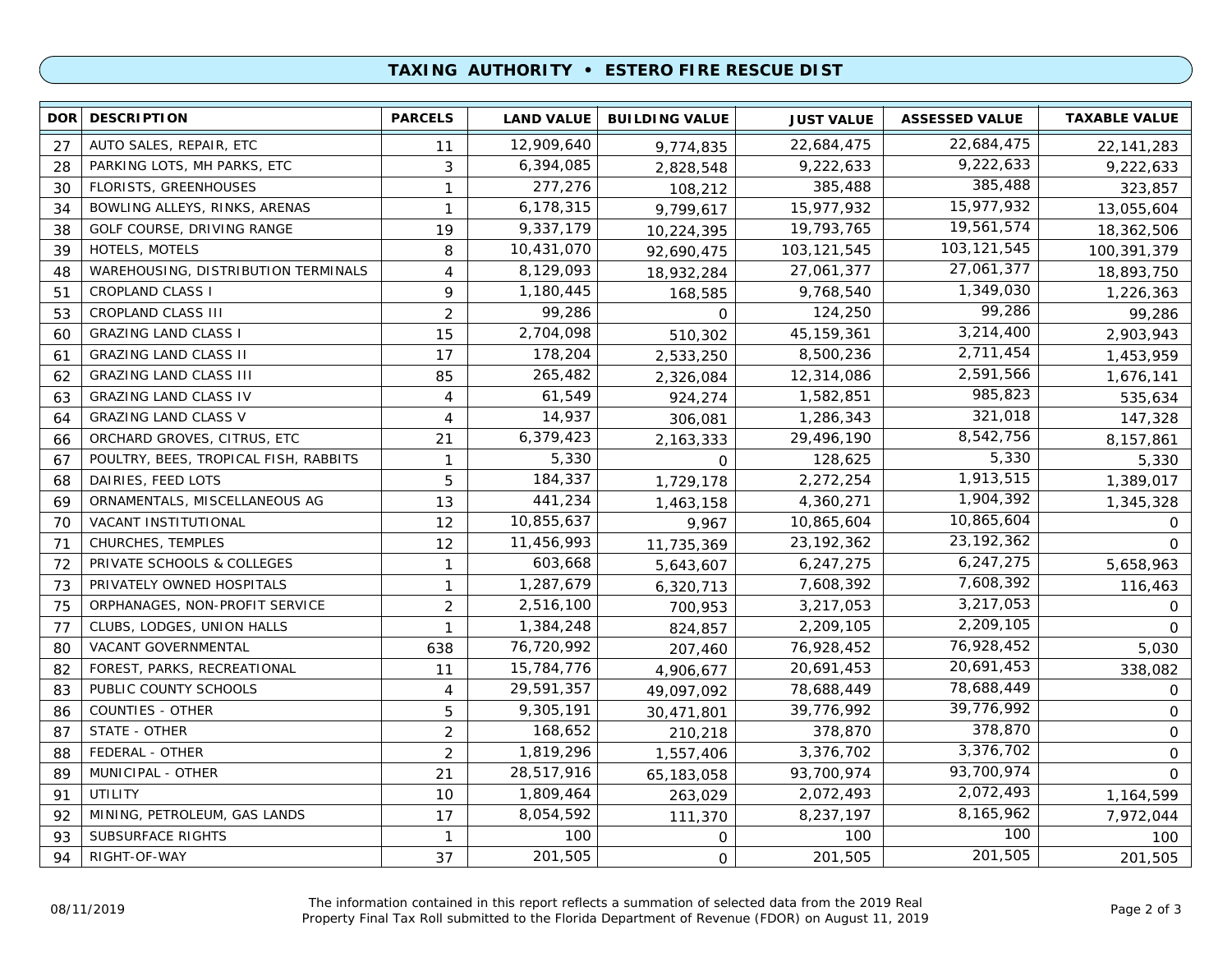### **TAXING AUTHORITY • ESTERO FIRE RESCUE DIST**

| DOR <b>I</b> | <b>DESCRIPTION</b>                    | <b>PARCELS</b> | <b>LAND VALUE</b> | <b>BUILDING VALUE</b> | <b>JUST VALUE</b> | <b>ASSESSED VALUE</b> | <b>TAXABLE VALUE</b> |
|--------------|---------------------------------------|----------------|-------------------|-----------------------|-------------------|-----------------------|----------------------|
| 27           | AUTO SALES, REPAIR, ETC               | 11             | 12,909,640        | 9,774,835             | 22,684,475        | 22,684,475            | 22, 141, 283         |
| 28           | PARKING LOTS, MH PARKS, ETC           | 3              | 6,394,085         | 2,828,548             | 9,222,633         | 9,222,633             | 9,222,633            |
| 30           | <b>FLORISTS, GREENHOUSES</b>          | 1              | 277,276           | 108,212               | 385,488           | 385,488               | 323,857              |
| 34           | BOWLING ALLEYS, RINKS, ARENAS         | 1              | 6,178,315         | 9,799,617             | 15,977,932        | 15,977,932            | 13,055,604           |
| 38           | GOLF COURSE, DRIVING RANGE            | 19             | 9,337,179         | 10,224,395            | 19,793,765        | 19,561,574            | 18,362,506           |
| 39           | HOTELS, MOTELS                        | 8              | 10,431,070        | 92,690,475            | 103, 121, 545     | 103, 121, 545         | 100,391,379          |
| 48           | WAREHOUSING, DISTRIBUTION TERMINALS   | 4              | 8,129,093         | 18,932,284            | 27,061,377        | 27,061,377            | 18,893,750           |
| 51           | <b>CROPLAND CLASS I</b>               | 9              | 1,180,445         | 168,585               | 9,768,540         | 1,349,030             | 1,226,363            |
| 53           | CROPLAND CLASS III                    | $\overline{2}$ | 99,286            | $\mathbf 0$           | 124,250           | 99,286                | 99,286               |
| 60           | <b>GRAZING LAND CLASS I</b>           | 15             | 2,704,098         | 510,302               | 45, 159, 361      | 3,214,400             | 2,903,943            |
| 61           | <b>GRAZING LAND CLASS II</b>          | 17             | 178,204           | 2,533,250             | 8,500,236         | 2,711,454             | 1,453,959            |
| 62           | <b>GRAZING LAND CLASS III</b>         | 85             | 265,482           | 2,326,084             | 12,314,086        | 2,591,566             | 1,676,141            |
| 63           | <b>GRAZING LAND CLASS IV</b>          | $\overline{4}$ | 61,549            | 924,274               | 1,582,851         | 985,823               | 535,634              |
| 64           | <b>GRAZING LAND CLASS V</b>           | 4              | 14,937            | 306,081               | 1,286,343         | 321,018               | 147,328              |
| 66           | ORCHARD GROVES, CITRUS, ETC           | 21             | 6,379,423         | 2,163,333             | 29,496,190        | 8,542,756             | 8,157,861            |
| 67           | POULTRY, BEES, TROPICAL FISH, RABBITS | $\mathbf{1}$   | 5,330             | $\Omega$              | 128,625           | 5,330                 | 5,330                |
| 68           | DAIRIES, FEED LOTS                    | 5              | 184,337           | 1,729,178             | 2,272,254         | 1,913,515             | 1,389,017            |
| 69           | ORNAMENTALS, MISCELLANEOUS AG         | 13             | 441,234           | 1,463,158             | 4,360,271         | 1,904,392             | 1,345,328            |
| 70           | VACANT INSTITUTIONAL                  | 12             | 10,855,637        | 9,967                 | 10,865,604        | 10,865,604            | 0                    |
| 71           | CHURCHES, TEMPLES                     | 12             | 11,456,993        | 11,735,369            | 23, 192, 362      | 23, 192, 362          | $\Omega$             |
| 72           | PRIVATE SCHOOLS & COLLEGES            | $\mathbf{1}$   | 603,668           | 5,643,607             | 6,247,275         | 6,247,275             | 5,658,963            |
| 73           | PRIVATELY OWNED HOSPITALS             | $\mathbf{1}$   | 1,287,679         | 6,320,713             | 7,608,392         | 7,608,392             | 116,463              |
| 75           | ORPHANAGES, NON-PROFIT SERVICE        | $\overline{2}$ | 2,516,100         | 700,953               | 3,217,053         | 3,217,053             | 0                    |
| 77           | CLUBS, LODGES, UNION HALLS            | 1              | 1,384,248         | 824,857               | 2,209,105         | 2,209,105             | $\Omega$             |
| 80           | VACANT GOVERNMENTAL                   | 638            | 76,720,992        | 207,460               | 76,928,452        | 76,928,452            | 5,030                |
| 82           | FOREST, PARKS, RECREATIONAL           | 11             | 15,784,776        | 4,906,677             | 20,691,453        | 20,691,453            | 338,082              |
| 83           | PUBLIC COUNTY SCHOOLS                 | $\overline{4}$ | 29,591,357        | 49,097,092            | 78,688,449        | 78,688,449            | $\Omega$             |
| 86           | <b>COUNTIES - OTHER</b>               | 5              | 9,305,191         | 30,471,801            | 39,776,992        | 39,776,992            | $\Omega$             |
| 87           | STATE - OTHER                         | $\overline{2}$ | 168,652           | 210,218               | 378,870           | 378,870               | $\mathbf 0$          |
| 88           | FEDERAL - OTHER                       | $\overline{2}$ | 1,819,296         | 1,557,406             | 3,376,702         | 3,376,702             | $\mathbf 0$          |
| 89           | MUNICIPAL - OTHER                     | 21             | 28,517,916        | 65,183,058            | 93,700,974        | 93,700,974            | $\Omega$             |
| 91           | <b>UTILITY</b>                        | 10             | 1,809,464         | 263,029               | 2,072,493         | 2,072,493             | 1,164,599            |
| 92           | MINING, PETROLEUM, GAS LANDS          | 17             | 8,054,592         | 111,370               | 8,237,197         | 8,165,962             | 7,972,044            |
| 93           | SUBSURFACE RIGHTS                     | $\mathbf{1}$   | 100               | 0                     | 100               | 100                   | 100                  |
| 94           | RIGHT-OF-WAY                          | 37             | 201,505           | $\mathbf 0$           | 201,505           | 201,505               | 201,505              |